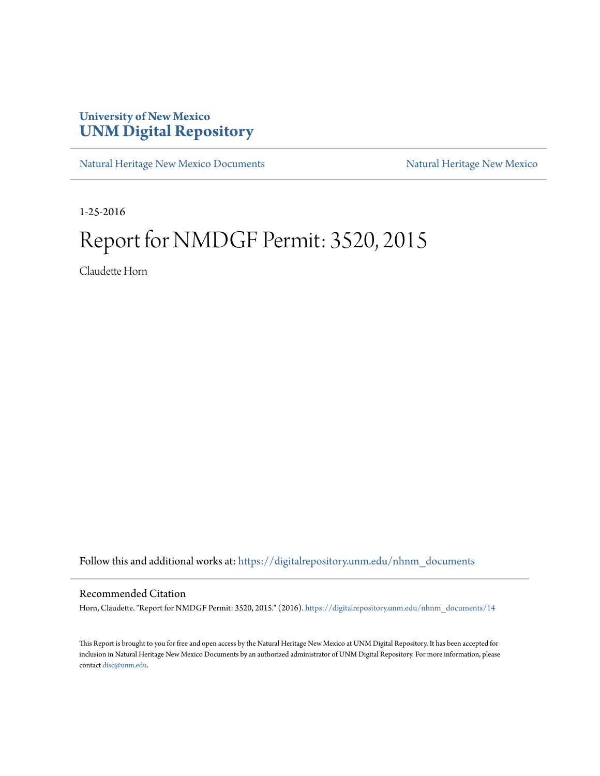## **University of New Mexico [UNM Digital Repository](https://digitalrepository.unm.edu?utm_source=digitalrepository.unm.edu%2Fnhnm_documents%2F14&utm_medium=PDF&utm_campaign=PDFCoverPages)**

[Natural Heritage New Mexico Documents](https://digitalrepository.unm.edu/nhnm_documents?utm_source=digitalrepository.unm.edu%2Fnhnm_documents%2F14&utm_medium=PDF&utm_campaign=PDFCoverPages) [Natural Heritage New Mexico](https://digitalrepository.unm.edu/nhnm?utm_source=digitalrepository.unm.edu%2Fnhnm_documents%2F14&utm_medium=PDF&utm_campaign=PDFCoverPages)

1-25-2016

## Report for NMDGF Permit: 3520, 2015

Claudette Horn

Follow this and additional works at: [https://digitalrepository.unm.edu/nhnm\\_documents](https://digitalrepository.unm.edu/nhnm_documents?utm_source=digitalrepository.unm.edu%2Fnhnm_documents%2F14&utm_medium=PDF&utm_campaign=PDFCoverPages)

## Recommended Citation

Horn, Claudette. "Report for NMDGF Permit: 3520, 2015." (2016). [https://digitalrepository.unm.edu/nhnm\\_documents/14](https://digitalrepository.unm.edu/nhnm_documents/14?utm_source=digitalrepository.unm.edu%2Fnhnm_documents%2F14&utm_medium=PDF&utm_campaign=PDFCoverPages)

This Report is brought to you for free and open access by the Natural Heritage New Mexico at UNM Digital Repository. It has been accepted for inclusion in Natural Heritage New Mexico Documents by an authorized administrator of UNM Digital Repository. For more information, please contact [disc@unm.edu.](mailto:disc@unm.edu)